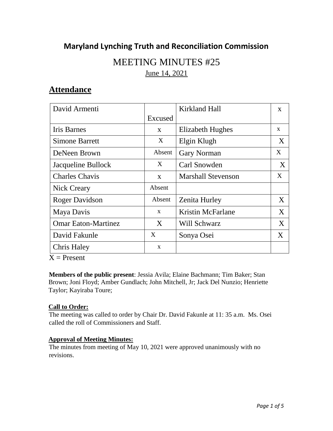## **Maryland Lynching Truth and Reconciliation Commission**

# MEETING MINUTES #25 June 14, 2021

## **Attendance**

| David Armenti              |              | <b>Kirkland Hall</b>      | $\mathbf{X}$ |
|----------------------------|--------------|---------------------------|--------------|
|                            | Excused      |                           |              |
| Iris Barnes                | $\mathbf{X}$ | Elizabeth Hughes          | X            |
| <b>Simone Barrett</b>      | X            | Elgin Klugh               | X            |
| DeNeen Brown               | Absent       | <b>Gary Norman</b>        | X            |
| Jacqueline Bullock         | X            | Carl Snowden              | X            |
| <b>Charles Chavis</b>      | $\mathbf{X}$ | <b>Marshall Stevenson</b> | X            |
| Nick Creary                | Absent       |                           |              |
| <b>Roger Davidson</b>      | Absent       | <b>Zenita Hurley</b>      | X            |
| Maya Davis                 | $\mathbf{x}$ | Kristin McFarlane         | X            |
| <b>Omar Eaton-Martinez</b> | X            | Will Schwarz              | X            |
| David Fakunle              | X            | Sonya Osei                | X            |
| <b>Chris Haley</b>         | $\mathbf{x}$ |                           |              |

 $X =$  Present

**Members of the public present**: Jessia Avila; Elaine Bachmann; Tim Baker; Stan Brown; Joni Floyd; Amber Gundlach; John Mitchell, Jr; Jack Del Nunzio; Henriette Taylor; Kayiraba Toure;

### **Call to Order:**

The meeting was called to order by Chair Dr. David Fakunle at 11: 35 a.m. Ms. Osei called the roll of Commissioners and Staff.

### **Approval of Meeting Minutes:**

The minutes from meeting of May 10, 2021 were approved unanimously with no revisions.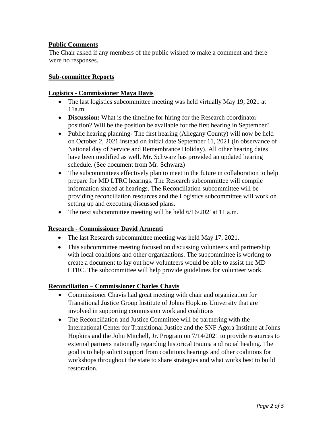#### **Public Comments**

The Chair asked if any members of the public wished to make a comment and there were no responses.

#### **Sub-committee Reports**

#### **Logistics - Commissioner Maya Davis**

- The last logistics subcommittee meeting was held virtually May 19, 2021 at 11a.m.
- **Discussion:** What is the timeline for hiring for the Research coordinator position? Will be the position be available for the first hearing in September?
- Public hearing planning- The first hearing (Allegany County) will now be held on October 2, 2021 instead on initial date September 11, 2021 (in observance of National day of Service and Remembrance Holiday). All other hearing dates have been modified as well. Mr. Schwarz has provided an updated hearing schedule. (See document from Mr. Schwarz)
- The subcommittees effectively plan to meet in the future in collaboration to help prepare for MD LTRC hearings. The Research subcommittee will compile information shared at hearings. The Reconciliation subcommittee will be providing reconciliation resources and the Logistics subcommittee will work on setting up and executing discussed plans.
- The next subcommittee meeting will be held  $6/16/2021$  at 11 a.m.

#### **Research - Commissioner David Armenti**

- The last Research subcommittee meeting was held May 17, 2021.
- This subcommittee meeting focused on discussing volunteers and partnership with local coalitions and other organizations. The subcommittee is working to create a document to lay out how volunteers would be able to assist the MD LTRC. The subcommittee will help provide guidelines for volunteer work.

#### **Reconciliation – Commissioner Charles Chavis**

- Commissioner Chavis had great meeting with chair and organization for Transitional Justice Group Institute of Johns Hopkins University that are involved in supporting commission work and coalitions
- The Reconciliation and Justice Committee will be partnering with the International Center for Transitional Justice and the SNF Agora Institute at Johns Hopkins and the John Mitchell, Jr. Program on 7/14/2021 to provide resources to external partners nationally regarding historical trauma and racial healing. The goal is to help solicit support from coalitions hearings and other coalitions for workshops throughout the state to share strategies and what works best to build restoration.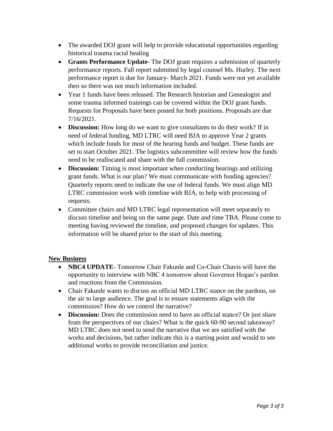- The awarded DOJ grant will help to provide educational opportunities regarding historical trauma racial healing
- **Grants Performance Update-** The DOJ grant requires a submission of quarterly performance reports. Fall report submitted by legal counsel Ms. Hurley. The next performance report is due for January- March 2021. Funds were not yet available then so there was not much information included.
- Year 1 funds have been released. The Research historian and Genealogist and some trauma informed trainings can be covered within the DOJ grant funds. Requests for Proposals have been posted for both positions. Proposals are due 7/16/2021.
- **Discussion:** How long do we want to give consultants to do their work? If in need of federal funding, MD LTRC will need BJA to approve Year 2 grants which include funds for most of the hearing funds and budget. These funds are set to start October 2021. The logistics subcommittee will review how the funds need to be reallocated and share with the full commission.
- **Discussion:** Timing is most important when conducting hearings and utilizing grant funds. What is our plan? We must communicate with funding agencies? Quarterly reports need to indicate the use of federal funds. We must align MD LTRC commission work with timeline with BJA, to help with processing of requests.
- Committee chairs and MD LTRC legal representation will meet separately to discuss timeline and being on the same page. Date and time TBA. Please come to meeting having reviewed the timeline, and proposed changes for updates. This information will be shared prior to the start of this meeting.

#### **New Business**

- **NBC4 UPDATE** Tomorrow Chair Fakunle and Co-Chair Chavis will have the opportunity to interview with NBC 4 tomorrow about Governor Hogan's pardon and reactions from the Commission.
- Chair Fakunle wants to discuss an official MD LTRC stance on the pardons, on the air to large audience. The goal is to ensure statements align with the commission? How do we control the narrative?
- **Discussion:** Does the commission need to have an official stance? Or just share from the perspectives of our chairs? What is the quick 60-90 second takeaway? MD LTRC does not need to send the narrative that we are satisfied with the works and decisions, but rather indicate this is a starting point and would to see additional works to provide reconciliation and justice.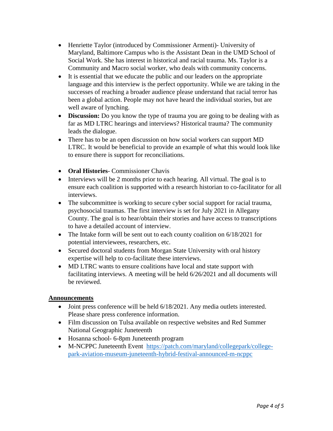- Henriette Taylor (introduced by Commissioner Armenti)- University of Maryland, Baltimore Campus who is the Assistant Dean in the UMD School of Social Work. She has interest in historical and racial trauma. Ms. Taylor is a Community and Macro social worker, who deals with community concerns.
- It is essential that we educate the public and our leaders on the appropriate language and this interview is the perfect opportunity. While we are taking in the successes of reaching a broader audience please understand that racial terror has been a global action. People may not have heard the individual stories, but are well aware of lynching.
- **Discussion:** Do you know the type of trauma you are going to be dealing with as far as MD LTRC hearings and interviews? Historical trauma? The community leads the dialogue.
- There has to be an open discussion on how social workers can support MD LTRC. It would be beneficial to provide an example of what this would look like to ensure there is support for reconciliations.
- **Oral Histories** Commissioner Chavis
- Interviews will be 2 months prior to each hearing. All virtual. The goal is to ensure each coalition is supported with a research historian to co-facilitator for all interviews.
- The subcommittee is working to secure cyber social support for racial trauma, psychosocial traumas. The first interview is set for July 2021 in Allegany County. The goal is to hear/obtain their stories and have access to transcriptions to have a detailed account of interview.
- The Intake form will be sent out to each county coalition on  $6/18/2021$  for potential interviewees, researchers, etc.
- Secured doctoral students from Morgan State University with oral history expertise will help to co-facilitate these interviews.
- MD LTRC wants to ensure coalitions have local and state support with facilitating interviews. A meeting will be held 6/26/2021 and all documents will be reviewed.

#### **Announcements**

- Joint press conference will be held  $6/18/2021$ . Any media outlets interested. Please share press conference information.
- Film discussion on Tulsa available on respective websites and Red Summer National Geographic Juneteenth
- Hosanna school- 6-8pm Juneteenth program
- M-NCPPC Juneteenth Event [https://patch.com/maryland/collegepark/college](https://patch.com/maryland/collegepark/college-park-aviation-museum-juneteenth-hybrid-festival-announced-m-ncppc)[park-aviation-museum-juneteenth-hybrid-festival-announced-m-ncppc](https://patch.com/maryland/collegepark/college-park-aviation-museum-juneteenth-hybrid-festival-announced-m-ncppc)